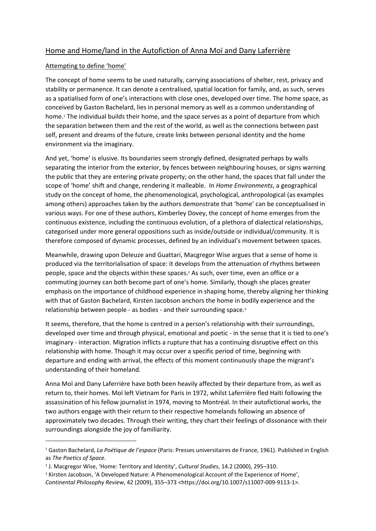# Home and Home/land in the Autofiction of Anna Moï and Dany Laferrière

## Attempting to define 'home'

The concept of home seems to be used naturally, carrying associations of shelter, rest, privacy and stability or permanence. It can denote a centralised, spatial location for family, and, as such, serves as a spatialised form of one's interactions with close ones, developed over time. The home space, as conceived by Gaston Bachelard, lies in personal memory as well as a common understanding of home.<sup>1</sup> The individual builds their home, and the space serves as a point of departure from which the separation between them and the rest of the world, as well as the connections between past self, present and dreams of the future, create links between personal identity and the home environment via the imaginary.

And yet, 'home' is elusive. Its boundaries seem strongly defined, designated perhaps by walls separating the interior from the exterior, by fences between neighbouring houses, or signs warning the public that they are entering private property; on the other hand, the spaces that fall under the scope of 'home' shift and change, rendering it malleable. In *Home Environments*, a geographical study on the concept of home, the phenomenological, psychological, anthropological (as examples among others) approaches taken by the authors demonstrate that 'home' can be conceptualised in various ways. For one of these authors, Kimberley Dovey, the concept of home emerges from the continuous existence, including the continuous evolution, of a plethora of dialectical relationships, categorised under more general oppositions such as inside/outside or individual/community. It is therefore composed of dynamic processes, defined by an individual's movement between spaces.

Meanwhile, drawing upon Deleuze and Guattari, Macgregor Wise argues that a sense of home is produced via the territorialisation of space: it develops from the attenuation of rhythms between people, space and the objects within these spaces.<sup>2</sup> As such, over time, even an office or a commuting journey can both become part of one's home. Similarly, though she places greater emphasis on the importance of childhood experience in shaping home, thereby aligning her thinking with that of Gaston Bachelard, Kirsten Jacobson anchors the home in bodily experience and the relationship between people - as bodies - and their surrounding space.<sup>3</sup>

It seems, therefore, that the home is centred in a person's relationship with their surroundings, developed over time and through physical, emotional and poetic - in the sense that it is tied to one's imaginary - interaction. Migration inflicts a rupture that has a continuing disruptive effect on this relationship with home. Though it may occur over a specific period of time, beginning with departure and ending with arrival, the effects of this moment continuously shape the migrant's understanding of their homeland.

Anna Moï and Dany Laferrière have both been heavily affected by their departure from, as well as return to, their homes. Moï left Vietnam for Paris in 1972, whilst Laferrière fled Haïti following the assassination of his fellow journalist in 1974, moving to Montréal. In their autofictional works, the two authors engage with their return to their respective homelands following an absence of approximately two decades. Through their writing, they chart their feelings of dissonance with their surroundings alongside the joy of familiarity.

<sup>1</sup> Gaston Bachelard, *La Poétique de l'espace* (Paris: Presses universitaires de France, 1961). Published in English as *The Poetics of Space*.

<sup>2</sup> J. Macgregor Wise, 'Home: Territory and Identity', *Cultural Studies*, 14.2 (2000), 295–310.

<sup>3</sup> Kirsten Jacobson, 'A Developed Nature: A Phenomenological Account of the Experience of Home', *Continental Philosophy Review*, 42 (2009), 355–373 <https://doi.org/10.1007/s11007-009-9113-1>.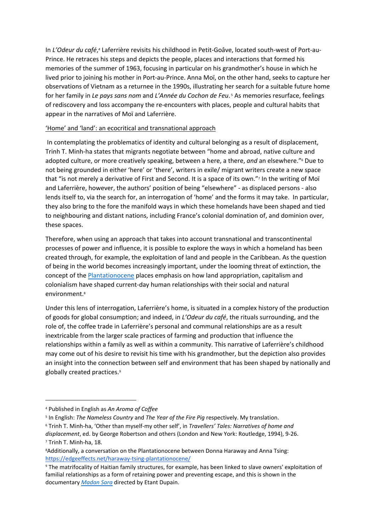In L'Odeur du café,<sup>4</sup> Laferrière revisits his childhood in Petit-Goâve, located south-west of Port-au-Prince. He retraces his steps and depicts the people, places and interactions that formed his memories of the summer of 1963, focusing in particular on his grandmother's house in which he lived prior to joining his mother in Port-au-Prince. Anna Moï, on the other hand, seeks to capture her observations of Vietnam as a returnee in the 1990s, illustrating her search for a suitable future home for her family in *Le pays sans nom* and *L'Année du Cochon de Feu*. <sup>5</sup> As memories resurface, feelings of rediscovery and loss accompany the re-encounters with places, people and cultural habits that appear in the narratives of Moï and Laferrière.

## 'Home' and 'land': an ecocritical and transnational approach

 In contemplating the problematics of identity and cultural belonging as a result of displacement, Trinh T. Minh-ha states that migrants negotiate between "home and abroad, native culture and adopted culture, or more creatively speaking, between a here, a there, *and* an elsewhere."<sup>6</sup> Due to not being grounded in either 'here' or 'there', writers in exile/ migrant writers create a new space that "is not merely a derivative of First and Second. It is a space of its own."<sup>7</sup> In the writing of Moï and Laferrière, however, the authors' position of being "elsewhere" - as displaced persons - also lends itself to, via the search for, an interrogation of 'home' and the forms it may take. In particular, they also bring to the fore the manifold ways in which these homelands have been shaped and tied to neighbouring and distant nations, including France's colonial domination of, and dominion over, these spaces.

Therefore, when using an approach that takes into account transnational and transcontinental processes of power and influence, it is possible to explore the ways in which a homeland has been created through, for example, the exploitation of land and people in the Caribbean. As the question of being in the world becomes increasingly important, under the looming threat of extinction, the concept of the [Plantationocene](https://edgeeffects.net/plantation-legacies-plantationocene/) places emphasis on how land appropriation, capitalism and colonialism have shaped current-day human relationships with their social and natural environment.<sup>8</sup>

 Under this lens of interrogation, Laferrière's home, is situated in a complex history of the production of goods for global consumption; and indeed, in *L'Odeur du café*, the rituals surrounding, and the role of, the coffee trade in Laferrière's personal and communal relationships are as a result inextricable from the larger scale practices of farming and production that influence the relationships within a family as well as within a community. This narrative of Laferrière's childhood may come out of his desire to revisit his time with his grandmother, but the depiction also provides an insight into the connection between self and environment that has been shaped by nationally and globally created practices.<sup>9</sup>

<sup>4</sup> Published in English as *An Aroma of Coffee*

<sup>5</sup> In English: *The Nameless Country* and *The Year of the Fire Pig* respectively. My translation.

<sup>6</sup> Trinh T. Minh-ha, 'Other than myself-my other self', in *Travellers' Tales: Narratives of home and displacement*, ed. by George Robertson and others (London and New York: Routledge, 1994), 9-26. 7 Trinh T. Minh-ha, 18.

<sup>8</sup>Additionally, a conversation on the Plantationocene between Donna Haraway and Anna Tsing: <https://edgeeffects.net/haraway-tsing-plantationocene/>

<sup>9</sup> The matrifocality of Haitian family structures, for example, has been linked to slave owners' exploitation of familial relationships as a form of retaining power and preventing escape, and this is shown in the documentary *[Madan Sara](https://youtu.be/yZElZVa-MWI)* directed by Etant Dupain.